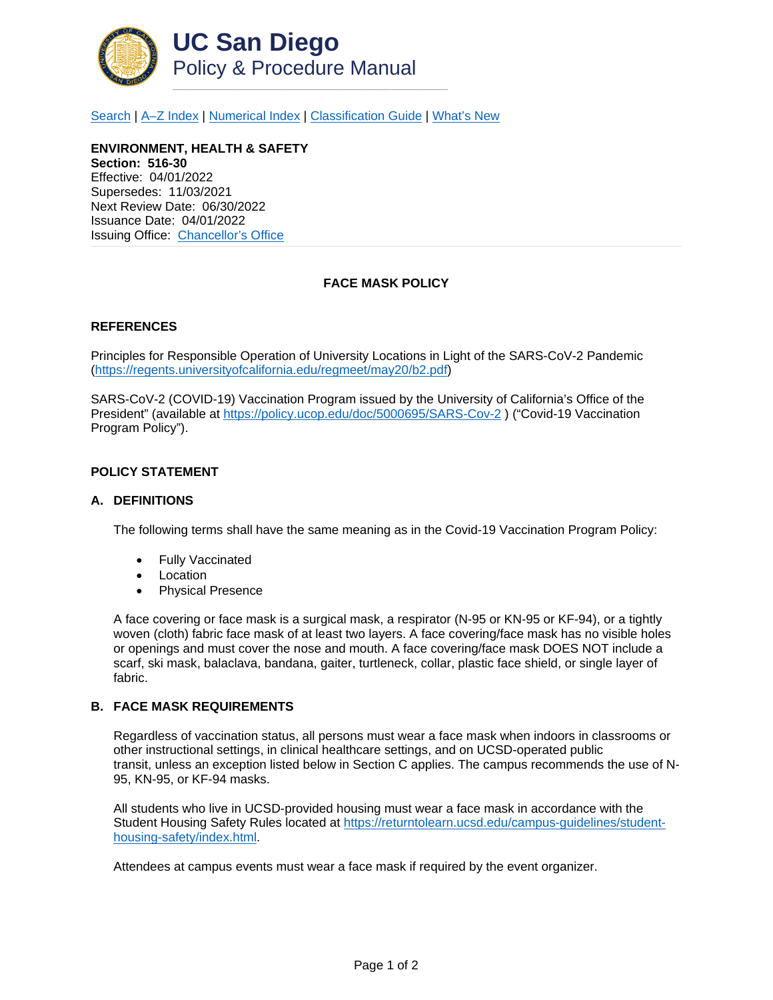

[Search](http://adminrecords.ucsd.edu/ppm/index.html) | A-Z Index | [Numerical Index](http://adminrecords.ucsd.edu/ppm/numerical.html) | [Classification Guide](http://adminrecords.ucsd.edu/ppm/alphabetical.html) | [What's New](http://adminrecords.ucsd.edu/ppm/whatsnew.html)

**ENVIRONMENT, HEALTH & SAFETY Section: 516-30** Effective: 04/01/2022 Supersedes: 11/03/2021 Next Review Date: 06/30/2022 Issuance Date: 04/01/2022 Issuing Office:[Chancellor's Office](https://chancellor.ucsd.edu/)

# **FACE MASK POLICY**

## **REFERENCES**

Principles for Responsible Operation of University Locations in Light of the SARS-CoV-2 Pandemic [\(https://regents.universityofcalifornia.edu/regmeet/may20/b2.pdf\)](https://regents.universityofcalifornia.edu/regmeet/may20/b2.pdf)

SARS-CoV-2 (COVID-19) Vaccination Program issued by the University of California's Office of the President" (available at <https://policy.ucop.edu/doc/5000695/SARS-Cov-2> ) ("Covid-19 Vaccination Program Policy").

# **POLICY STATEMENT**

#### **A. DEFINITIONS**

The following terms shall have the same meaning as in the Covid-19 Vaccination Program Policy:

- Fully Vaccinated
- **Location**
- Physical Presence

A face covering or face mask is a surgical mask, a respirator (N-95 or KN-95 or KF-94), or a tightly woven (cloth) fabric face mask of at least two layers. A face covering/face mask has no visible holes or openings and must cover the nose and mouth. A face covering/face mask DOES NOT include a scarf, ski mask, balaclava, bandana, gaiter, turtleneck, collar, plastic face shield, or single layer of fabric.

#### **B. FACE MASK REQUIREMENTS**

Regardless of vaccination status, all persons must wear a face mask when indoors in classrooms or other instructional settings, in clinical healthcare settings, and on UCSD-operated public transit, unless an exception listed below in Section C applies. The campus recommends the use of N-95, KN-95, or KF-94 masks.

All students who live in UCSD-provided housing must wear a face mask in accordance with the Student Housing Safety Rules located at [https://returntolearn.ucsd.edu/campus-guidelines/student](https://returntolearn.ucsd.edu/campus-guidelines/student-housing-safety/index.html)[housing-safety/index.html.](https://returntolearn.ucsd.edu/campus-guidelines/student-housing-safety/index.html)

Attendees at campus events must wear a face mask if required by the event organizer.